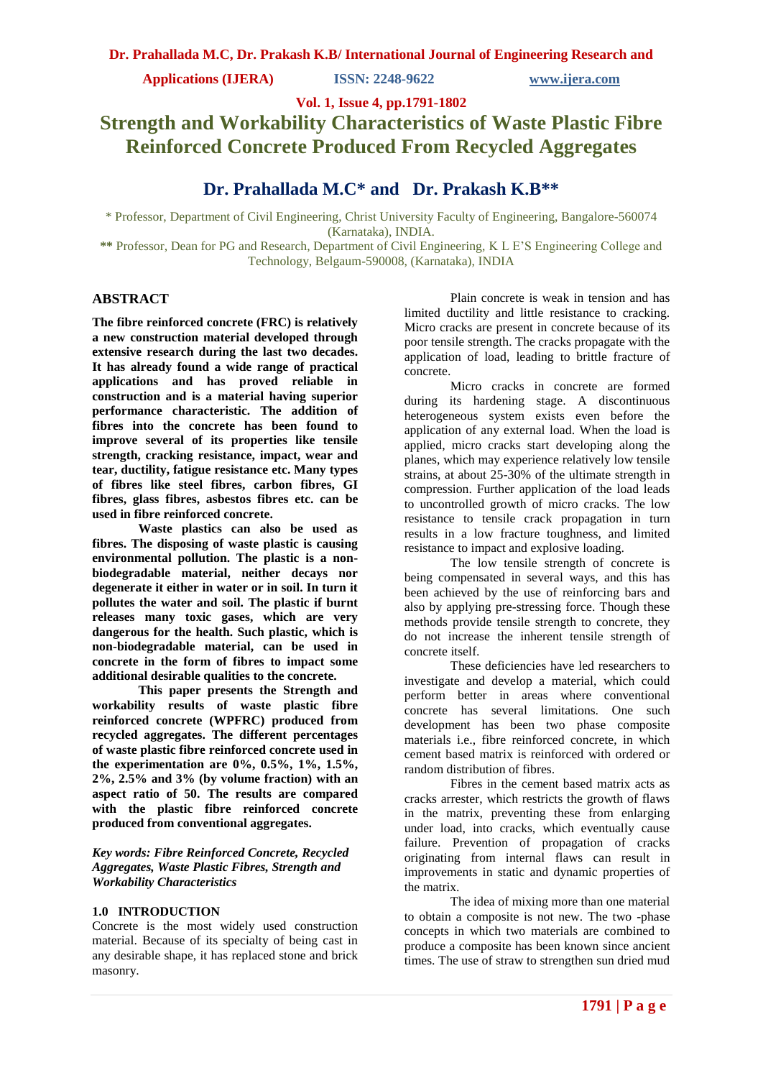**Applications (IJERA) ISSN: 2248-9622 www.ijera.com**

**Vol. 1, Issue 4, pp.1791-1802**

# **Strength and Workability Characteristics of Waste Plastic Fibre Reinforced Concrete Produced From Recycled Aggregates**

## **Dr. Prahallada M.C\* and Dr. Prakash K.B\*\***

\* Professor, Department of Civil Engineering, Christ University Faculty of Engineering, Bangalore-560074 (Karnataka), INDIA.

**\*\*** Professor, Dean for PG and Research, Department of Civil Engineering, K L E'S Engineering College and Technology, Belgaum-590008, (Karnataka), INDIA

#### **ABSTRACT**

**The fibre reinforced concrete (FRC) is relatively a new construction material developed through extensive research during the last two decades. It has already found a wide range of practical applications and has proved reliable in construction and is a material having superior performance characteristic. The addition of fibres into the concrete has been found to improve several of its properties like tensile strength, cracking resistance, impact, wear and tear, ductility, fatigue resistance etc. Many types of fibres like steel fibres, carbon fibres, GI fibres, glass fibres, asbestos fibres etc. can be used in fibre reinforced concrete.**

**Waste plastics can also be used as fibres. The disposing of waste plastic is causing environmental pollution. The plastic is a nonbiodegradable material, neither decays nor degenerate it either in water or in soil. In turn it pollutes the water and soil. The plastic if burnt releases many toxic gases, which are very dangerous for the health. Such plastic, which is non-biodegradable material, can be used in concrete in the form of fibres to impact some additional desirable qualities to the concrete.**

**This paper presents the Strength and workability results of waste plastic fibre reinforced concrete (WPFRC) produced from recycled aggregates. The different percentages of waste plastic fibre reinforced concrete used in the experimentation are 0%, 0.5%, 1%, 1.5%, 2%, 2.5% and 3% (by volume fraction) with an aspect ratio of 50. The results are compared with the plastic fibre reinforced concrete produced from conventional aggregates.**

#### *Key words: Fibre Reinforced Concrete, Recycled Aggregates, Waste Plastic Fibres, Strength and Workability Characteristics*

#### **1.0 INTRODUCTION**

Concrete is the most widely used construction material. Because of its specialty of being cast in any desirable shape, it has replaced stone and brick masonry.

Plain concrete is weak in tension and has limited ductility and little resistance to cracking. Micro cracks are present in concrete because of its poor tensile strength. The cracks propagate with the application of load, leading to brittle fracture of concrete.

Micro cracks in concrete are formed during its hardening stage. A discontinuous heterogeneous system exists even before the application of any external load. When the load is applied, micro cracks start developing along the planes, which may experience relatively low tensile strains, at about 25-30% of the ultimate strength in compression. Further application of the load leads to uncontrolled growth of micro cracks. The low resistance to tensile crack propagation in turn results in a low fracture toughness, and limited resistance to impact and explosive loading.

The low tensile strength of concrete is being compensated in several ways, and this has been achieved by the use of reinforcing bars and also by applying pre-stressing force. Though these methods provide tensile strength to concrete, they do not increase the inherent tensile strength of concrete itself.

These deficiencies have led researchers to investigate and develop a material, which could perform better in areas where conventional concrete has several limitations. One such development has been two phase composite materials i.e., fibre reinforced concrete, in which cement based matrix is reinforced with ordered or random distribution of fibres.

Fibres in the cement based matrix acts as cracks arrester, which restricts the growth of flaws in the matrix, preventing these from enlarging under load, into cracks, which eventually cause failure. Prevention of propagation of cracks originating from internal flaws can result in improvements in static and dynamic properties of the matrix.

The idea of mixing more than one material to obtain a composite is not new. The two -phase concepts in which two materials are combined to produce a composite has been known since ancient times. The use of straw to strengthen sun dried mud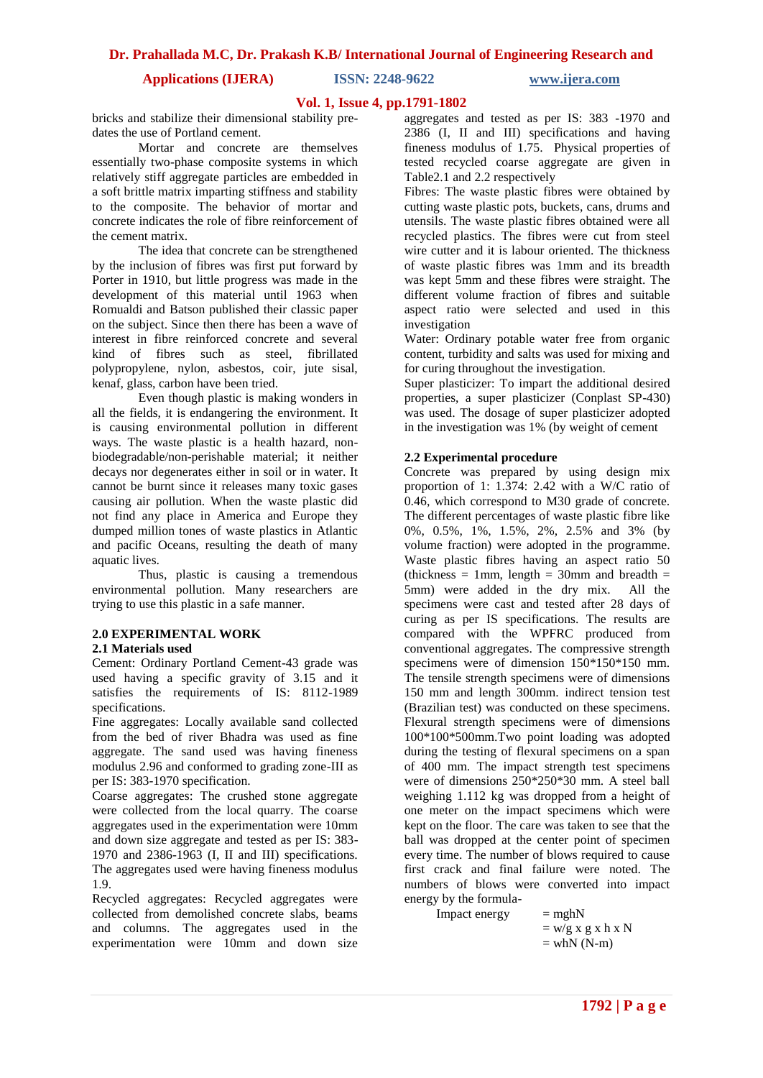**Applications (IJERA) ISSN: 2248-9622 www.ijera.com**

#### **Vol. 1, Issue 4, pp.1791-1802**

bricks and stabilize their dimensional stability predates the use of Portland cement.

Mortar and concrete are themselves essentially two-phase composite systems in which relatively stiff aggregate particles are embedded in a soft brittle matrix imparting stiffness and stability to the composite. The behavior of mortar and concrete indicates the role of fibre reinforcement of the cement matrix.

The idea that concrete can be strengthened by the inclusion of fibres was first put forward by Porter in 1910, but little progress was made in the development of this material until 1963 when Romualdi and Batson published their classic paper on the subject. Since then there has been a wave of interest in fibre reinforced concrete and several kind of fibres such as steel, fibrillated polypropylene, nylon, asbestos, coir, jute sisal, kenaf, glass, carbon have been tried.

Even though plastic is making wonders in all the fields, it is endangering the environment. It is causing environmental pollution in different ways. The waste plastic is a health hazard, nonbiodegradable/non-perishable material; it neither decays nor degenerates either in soil or in water. It cannot be burnt since it releases many toxic gases causing air pollution. When the waste plastic did not find any place in America and Europe they dumped million tones of waste plastics in Atlantic and pacific Oceans, resulting the death of many aquatic lives.

Thus, plastic is causing a tremendous environmental pollution. Many researchers are trying to use this plastic in a safe manner.

#### **2.0 EXPERIMENTAL WORK 2.1 Materials used**

Cement: Ordinary Portland Cement-43 grade was used having a specific gravity of 3.15 and it satisfies the requirements of IS: 8112-1989 specifications.

Fine aggregates: Locally available sand collected from the bed of river Bhadra was used as fine aggregate. The sand used was having fineness modulus 2.96 and conformed to grading zone-III as per IS: 383-1970 specification.

Coarse aggregates: The crushed stone aggregate were collected from the local quarry. The coarse aggregates used in the experimentation were 10mm and down size aggregate and tested as per IS: 383- 1970 and 2386-1963 (I, II and III) specifications. The aggregates used were having fineness modulus 1.9.

Recycled aggregates: Recycled aggregates were collected from demolished concrete slabs, beams and columns. The aggregates used in the experimentation were 10mm and down size aggregates and tested as per IS: 383 -1970 and 2386 (I, II and III) specifications and having fineness modulus of 1.75. Physical properties of tested recycled coarse aggregate are given in Table2.1 and 2.2 respectively

Fibres: The waste plastic fibres were obtained by cutting waste plastic pots, buckets, cans, drums and utensils. The waste plastic fibres obtained were all recycled plastics. The fibres were cut from steel wire cutter and it is labour oriented. The thickness of waste plastic fibres was 1mm and its breadth was kept 5mm and these fibres were straight. The different volume fraction of fibres and suitable aspect ratio were selected and used in this investigation

Water: Ordinary potable water free from organic content, turbidity and salts was used for mixing and for curing throughout the investigation.

Super plasticizer: To impart the additional desired properties, a super plasticizer (Conplast SP-430) was used. The dosage of super plasticizer adopted in the investigation was 1% (by weight of cement

#### **2.2 Experimental procedure**

Concrete was prepared by using design mix proportion of 1:  $1.374: 2.42$  with a W/C ratio of 0.46, which correspond to M30 grade of concrete. The different percentages of waste plastic fibre like 0%, 0.5%, 1%, 1.5%, 2%, 2.5% and 3% (by volume fraction) were adopted in the programme. Waste plastic fibres having an aspect ratio 50 (thickness = 1mm, length = 30mm and breadth = 5mm) were added in the dry mix. All the specimens were cast and tested after 28 days of curing as per IS specifications. The results are compared with the WPFRC produced from conventional aggregates. The compressive strength specimens were of dimension 150\*150\*150 mm. The tensile strength specimens were of dimensions 150 mm and length 300mm. indirect tension test (Brazilian test) was conducted on these specimens. Flexural strength specimens were of dimensions 100\*100\*500mm.Two point loading was adopted during the testing of flexural specimens on a span of 400 mm. The impact strength test specimens were of dimensions 250\*250\*30 mm. A steel ball weighing 1.112 kg was dropped from a height of one meter on the impact specimens which were kept on the floor. The care was taken to see that the ball was dropped at the center point of specimen every time. The number of blows required to cause first crack and final failure were noted. The numbers of blows were converted into impact energy by the formula-

 $\text{Im} \text{pack energy} = \text{mghN}$ 

 $=$  w/g x g x h x  $\rm N$  $=$  whN (N-m)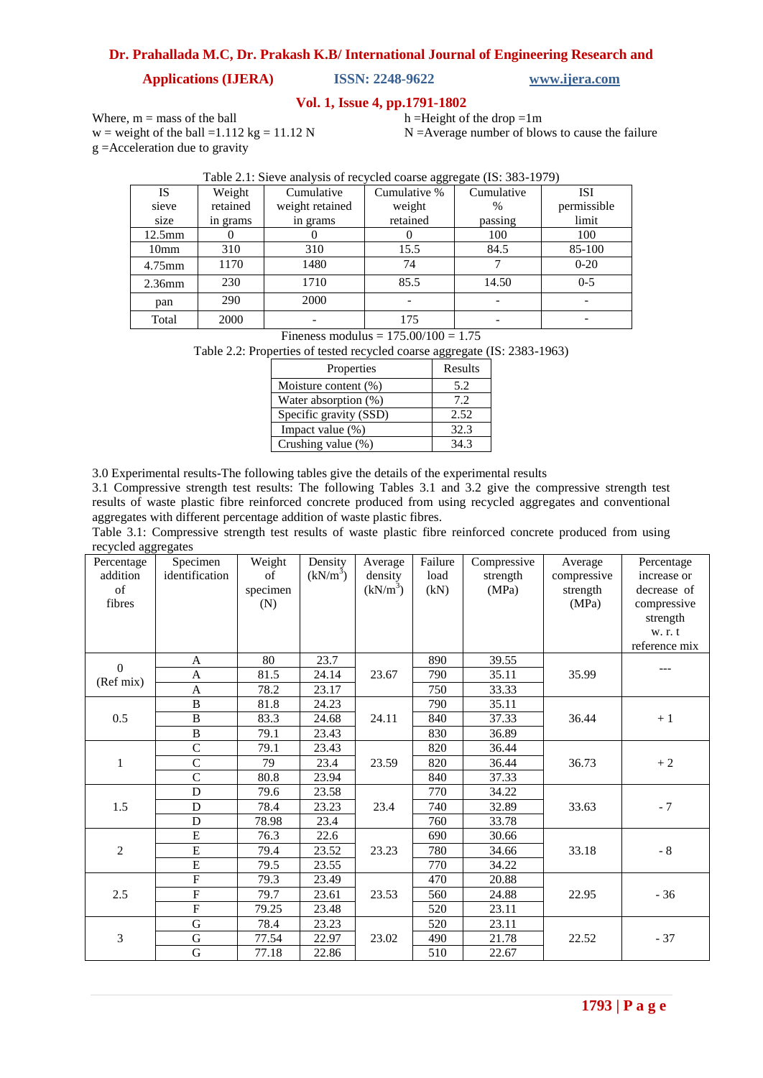## **Applications (IJERA) ISSN: 2248-9622 www.ijera.com**

#### **Vol. 1, Issue 4, pp.1791-1802**

Where,  $m =$  mass of the ball w = weight of the ball =  $1.112$  kg =  $11.12$  N g =Acceleration due to gravity

h =Height of the drop = $1m$ 

N =Average number of blows to cause the failure

|                  |          | $\frac{1}{2}$ and $\frac{1}{2}$ and $\frac{1}{2}$ and $\frac{1}{2}$ are $\frac{1}{2}$ and $\frac{1}{2}$ and $\frac{1}{2}$ and $\frac{1}{2}$ and $\frac{1}{2}$ and $\frac{1}{2}$ and $\frac{1}{2}$ and $\frac{1}{2}$ and $\frac{1}{2}$ and $\frac{1}{2}$ and $\frac{1}{2}$ and $\frac{1}{2}$ a |              |               |             |
|------------------|----------|-----------------------------------------------------------------------------------------------------------------------------------------------------------------------------------------------------------------------------------------------------------------------------------------------|--------------|---------------|-------------|
| IS               | Weight   | Cumulative                                                                                                                                                                                                                                                                                    | Cumulative % | Cumulative    | ISI         |
| sieve            | retained | weight retained                                                                                                                                                                                                                                                                               | weight       | $\frac{0}{0}$ | permissible |
| size             | in grams | in grams                                                                                                                                                                                                                                                                                      | retained     | passing       | limit       |
| $12.5$ mm        |          |                                                                                                                                                                                                                                                                                               |              | 100           | 100         |
| 10 <sub>mm</sub> | 310      | 310                                                                                                                                                                                                                                                                                           | 15.5         | 84.5          | 85-100      |
| 4.75mm           | 1170     | 1480                                                                                                                                                                                                                                                                                          | 74           |               | $0 - 20$    |
| $2.36$ mm        | 230      | 1710                                                                                                                                                                                                                                                                                          | 85.5         | 14.50         | $0 - 5$     |
| pan              | 290      | 2000                                                                                                                                                                                                                                                                                          |              |               |             |
| Total            | 2000     |                                                                                                                                                                                                                                                                                               | 175          |               |             |

#### Table 2.1: Sieve analysis of recycled coarse aggregate (IS: 383-1979)

Fineness modulus =  $175.00/100 = 1.75$ 

Table 2.2: Properties of tested recycled coarse aggregate (IS: 2383-1963)

| Properties             | Results |
|------------------------|---------|
| Moisture content (%)   | 5.2     |
| Water absorption (%)   | 7.2     |
| Specific gravity (SSD) | 2.52    |
| Impact value $(\%)$    | 32.3    |
| Crushing value (%)     | 34 3    |

3.0 Experimental results-The following tables give the details of the experimental results

3.1 Compressive strength test results: The following Tables 3.1 and 3.2 give the compressive strength test results of waste plastic fibre reinforced concrete produced from using recycled aggregates and conventional aggregates with different percentage addition of waste plastic fibres.

Table 3.1: Compressive strength test results of waste plastic fibre reinforced concrete produced from using recycled aggregates

| $\circ$<br>Percentage<br>addition<br>of<br>fibres | Specimen<br>identification | Weight<br>of<br>specimen<br>(N) | Density<br>$(kN/m^3)$ | Average<br>density<br>$(kN/m^3)$ | Failure<br>load<br>(kN) | Compressive<br>strength<br>(MPa) | Average<br>compressive<br>strength<br>(MPa) | Percentage<br>increase or<br>decrease of<br>compressive<br>strength<br>w. r. t |
|---------------------------------------------------|----------------------------|---------------------------------|-----------------------|----------------------------------|-------------------------|----------------------------------|---------------------------------------------|--------------------------------------------------------------------------------|
|                                                   |                            |                                 |                       |                                  |                         |                                  |                                             | reference mix                                                                  |
| $\Omega$                                          | A                          | 80                              | 23.7                  |                                  | 890                     | 39.55                            |                                             | ---                                                                            |
| (Ref mix)                                         | A                          | 81.5                            | 24.14                 | 23.67                            | 790                     | 35.11                            | 35.99                                       |                                                                                |
|                                                   | $\overline{A}$             | 78.2                            | 23.17                 |                                  | 750                     | 33.33                            |                                             |                                                                                |
|                                                   | $\overline{B}$             | 81.8                            | 24.23                 |                                  | 790                     | 35.11                            |                                             |                                                                                |
| 0.5                                               | B                          | 83.3                            | 24.68                 | 24.11                            | 840                     | 37.33                            | 36.44                                       | $+1$                                                                           |
|                                                   | $\bf{B}$                   | 79.1                            | 23.43                 |                                  | 830                     | 36.89                            |                                             |                                                                                |
|                                                   | $\overline{C}$             | 79.1                            | 23.43                 |                                  | 820                     | 36.44                            |                                             |                                                                                |
| $\mathbf 1$                                       | $\mathsf{C}$               | 79                              | 23.4                  | 23.59                            | 820                     | 36.44                            | 36.73                                       | $+2$                                                                           |
|                                                   | $\overline{C}$             | 80.8                            | 23.94                 |                                  | 840                     | 37.33                            |                                             |                                                                                |
|                                                   | D                          | 79.6                            | 23.58                 |                                  | 770                     | 34.22                            |                                             |                                                                                |
| 1.5                                               | D                          | 78.4                            | 23.23                 | 23.4                             | 740                     | 32.89                            | 33.63                                       | $-7$                                                                           |
|                                                   | D                          | 78.98                           | 23.4                  |                                  | 760                     | 33.78                            |                                             |                                                                                |
|                                                   | E                          | 76.3                            | 22.6                  |                                  | 690                     | 30.66                            |                                             |                                                                                |
| $\overline{2}$                                    | E                          | 79.4                            | 23.52                 | 23.23                            | 780                     | 34.66                            | 33.18                                       | - $8$                                                                          |
|                                                   | $\overline{E}$             | 79.5                            | 23.55                 |                                  | 770                     | 34.22                            |                                             |                                                                                |
|                                                   | $\overline{F}$             | 79.3                            | 23.49                 |                                  | 470                     | 20.88                            |                                             |                                                                                |
| 2.5                                               | $\overline{F}$             | 79.7                            | 23.61                 | 23.53                            | 560                     | 24.88                            | 22.95                                       | $-36$                                                                          |
|                                                   | $\overline{F}$             | 79.25                           | 23.48                 |                                  | 520                     | 23.11                            |                                             |                                                                                |
|                                                   | $\overline{G}$             | 78.4                            | 23.23                 |                                  | 520                     | 23.11                            |                                             |                                                                                |
| 3                                                 | $\mathbf G$                | 77.54                           | 22.97                 | 23.02                            | 490                     | 21.78                            | 22.52                                       | $-37$                                                                          |
|                                                   | G                          | 77.18                           | 22.86                 |                                  | 510                     | 22.67                            |                                             |                                                                                |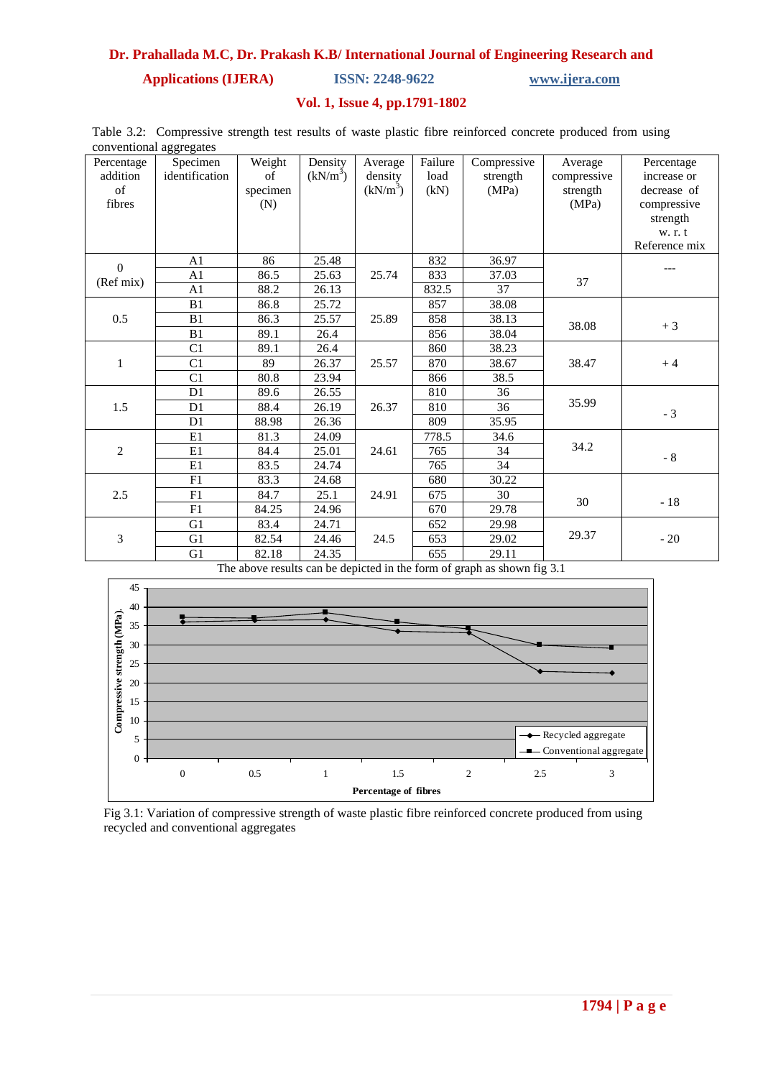**Applications (IJERA) ISSN: 2248-9622 www.ijera.com**

#### **Vol. 1, Issue 4, pp.1791-1802**

Table 3.2: Compressive strength test results of waste plastic fibre reinforced concrete produced from using conventional aggregates

| Percentage<br>addition<br>of<br>fibres | $\circ\circ$<br>Specimen<br>identification | Weight<br>of<br>specimen<br>(N) | Density<br>(kN/m <sup>3</sup> ) | Average<br>density<br>$(kN/m^3)$ | Failure<br>load<br>(kN) | Compressive<br>strength<br>(MPa) | Average<br>compressive<br>strength<br>(MPa) | Percentage<br>increase or<br>decrease of<br>compressive<br>strength<br>w. r. t<br>Reference mix |
|----------------------------------------|--------------------------------------------|---------------------------------|---------------------------------|----------------------------------|-------------------------|----------------------------------|---------------------------------------------|-------------------------------------------------------------------------------------------------|
| $\Omega$                               | A1                                         | 86                              | 25.48                           |                                  | 832                     | 36.97                            |                                             |                                                                                                 |
| (Ref mix)                              | A <sub>1</sub>                             | 86.5                            | 25.63                           | 25.74                            | 833                     | 37.03                            | 37                                          |                                                                                                 |
|                                        | A1                                         | 88.2                            | 26.13                           |                                  | 832.5                   | 37                               |                                             |                                                                                                 |
|                                        | B1                                         | 86.8                            | 25.72                           |                                  | 857                     | 38.08                            |                                             |                                                                                                 |
| 0.5                                    | B1                                         | 86.3                            | 25.57                           | 25.89                            | 858                     | 38.13                            | 38.08                                       | $+3$                                                                                            |
|                                        | B1                                         | 89.1                            | 26.4                            |                                  | 856                     | 38.04                            |                                             |                                                                                                 |
|                                        | C1                                         | 89.1                            | 26.4                            |                                  | 860                     | 38.23                            |                                             |                                                                                                 |
| $\mathbf{1}$                           | C1                                         | 89                              | 26.37                           | 25.57                            | 870                     | 38.67                            | 38.47                                       | $+4$                                                                                            |
|                                        | C1                                         | 80.8                            | 23.94                           |                                  | 866                     | 38.5                             |                                             |                                                                                                 |
|                                        | D <sub>1</sub>                             | 89.6                            | 26.55                           |                                  | 810                     | 36                               |                                             |                                                                                                 |
| 1.5                                    | D <sub>1</sub>                             | 88.4                            | 26.19                           | 26.37                            | 810                     | 36                               | 35.99                                       | $-3$                                                                                            |
|                                        | D1                                         | 88.98                           | 26.36                           |                                  | 809                     | 35.95                            |                                             |                                                                                                 |
|                                        | E1                                         | 81.3                            | 24.09                           |                                  | 778.5                   | 34.6                             |                                             |                                                                                                 |
| $\overline{2}$                         | E1                                         | 84.4                            | 25.01                           | 24.61                            | 765                     | 34                               | 34.2                                        | $-8$                                                                                            |
|                                        | E1                                         | 83.5                            | 24.74                           |                                  | 765                     | 34                               |                                             |                                                                                                 |
|                                        | F1                                         | 83.3                            | 24.68                           |                                  | 680                     | 30.22                            |                                             |                                                                                                 |
| 2.5                                    | F1                                         | 84.7                            | 25.1                            | 24.91                            | 675                     | 30                               | 30                                          | $-18$                                                                                           |
|                                        | F1                                         | 84.25                           | 24.96                           |                                  | 670                     | 29.78                            |                                             |                                                                                                 |
|                                        | G1                                         | 83.4                            | 24.71                           |                                  | 652                     | 29.98                            |                                             |                                                                                                 |
| $\mathfrak{Z}$                         | G1                                         | 82.54                           | 24.46                           | 24.5                             | 653                     | 29.02                            | 29.37                                       | $-20$                                                                                           |
|                                        | G1                                         | 82.18                           | 24.35                           |                                  | 655                     | 29.11                            |                                             |                                                                                                 |

The above results can be depicted in the form of graph as shown fig 3.1



Fig 3.1: Variation of compressive strength of waste plastic fibre reinforced concrete produced from using recycled and conventional aggregates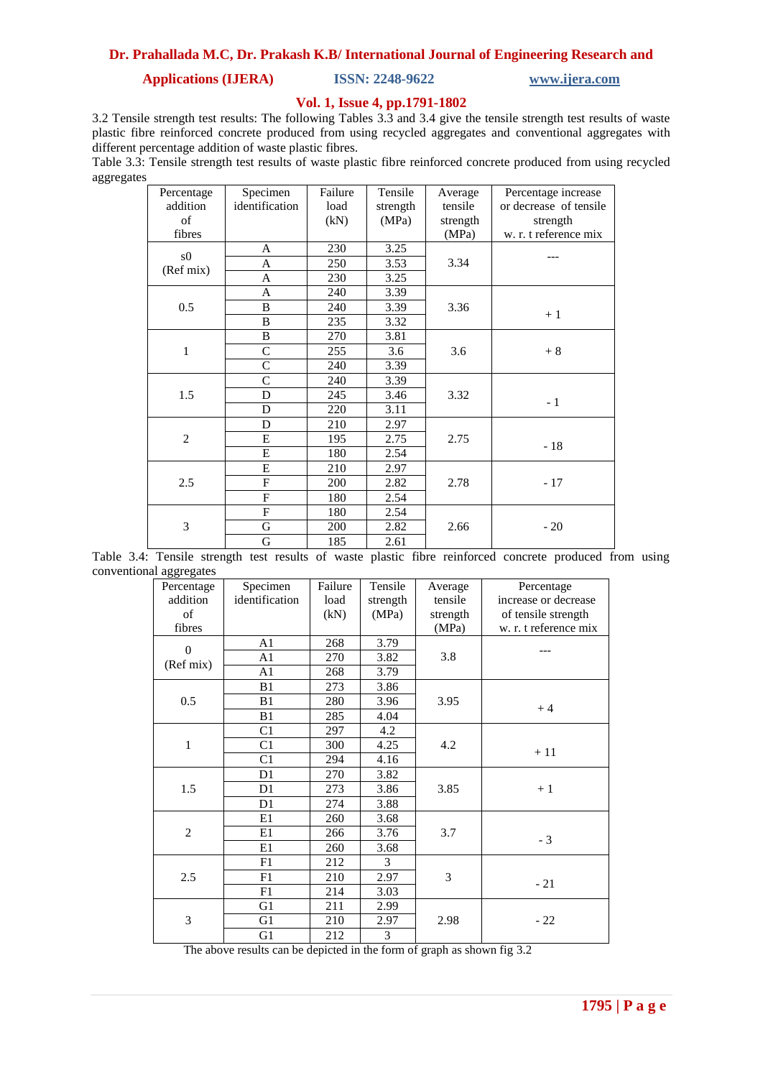## **Applications (IJERA) ISSN: 2248-9622 www.ijera.com**

#### **Vol. 1, Issue 4, pp.1791-1802**

3.2 Tensile strength test results: The following Tables 3.3 and 3.4 give the tensile strength test results of waste plastic fibre reinforced concrete produced from using recycled aggregates and conventional aggregates with different percentage addition of waste plastic fibres.

Table 3.3: Tensile strength test results of waste plastic fibre reinforced concrete produced from using recycled aggregates

| Percentage     | Specimen       | Failure | Tensile  | Average  | Percentage increase    |
|----------------|----------------|---------|----------|----------|------------------------|
| addition       | identification | load    | strength | tensile  | or decrease of tensile |
| of             |                | (kN)    | (MPa)    | strength | strength               |
| fibres         |                |         |          | (MPa)    | w. r. t reference mix  |
| s0             | A              | 230     | 3.25     |          |                        |
| (Ref mix)      | A              | 250     | 3.53     | 3.34     |                        |
|                | A              | 230     | 3.25     |          |                        |
|                | A              | 240     | 3.39     |          |                        |
| 0.5            | B              | 240     | 3.39     | 3.36     | $+1$                   |
|                | B              | 235     | 3.32     |          |                        |
|                | $\, {\bf B}$   | 270     | 3.81     |          |                        |
| $\mathbf{1}$   | $\mathbf C$    | 255     | 3.6      | 3.6      | $+8$                   |
|                | $\mathcal{C}$  | 240     | 3.39     |          |                        |
|                | $\mathsf{C}$   | 240     | 3.39     |          |                        |
| 1.5            | D              | 245     | 3.46     | 3.32     | $-1$                   |
|                | D              | 220     | 3.11     |          |                        |
|                | D              | 210     | 2.97     |          |                        |
| $\overline{c}$ | E              | 195     | 2.75     | 2.75     | $-18$                  |
|                | E              | 180     | 2.54     |          |                        |
|                | E              | 210     | 2.97     |          |                        |
| 2.5            | F              | 200     | 2.82     | 2.78     | $-17$                  |
|                | $\overline{F}$ | 180     | 2.54     |          |                        |
|                | $\overline{F}$ | 180     | 2.54     |          |                        |
| 3              | $\mathbf G$    | 200     | 2.82     | 2.66     | $-20$                  |
|                | ${\bf G}$      | 185     | 2.61     |          |                        |

|                         |  |  |  |  | Table 3.4: Tensile strength test results of waste plastic fibre reinforced concrete produced from using |  |  |
|-------------------------|--|--|--|--|---------------------------------------------------------------------------------------------------------|--|--|
| conventional aggregates |  |  |  |  |                                                                                                         |  |  |

| Percentage     | Specimen       | Failure | Tensile  | Average  | Percentage            |
|----------------|----------------|---------|----------|----------|-----------------------|
| addition       | identification | load    | strength | tensile  | increase or decrease  |
| of             |                | (kN)    | (MPa)    | strength | of tensile strength   |
| fibres         |                |         |          | (MPa)    | w. r. t reference mix |
| $\Omega$       | A <sub>1</sub> | 268     | 3.79     |          |                       |
| (Ref mix)      | A <sub>1</sub> | 270     | 3.82     | 3.8      |                       |
|                | A1             | 268     | 3.79     |          |                       |
|                | B1             | 273     | 3.86     |          |                       |
| 0.5            | B1             | 280     | 3.96     | 3.95     | $+4$                  |
|                | B1             | 285     | 4.04     |          |                       |
|                | C1             | 297     | 4.2      |          |                       |
| $\mathbf 1$    | C1             | 300     | 4.25     | 4.2      | $+11$                 |
|                | C <sub>1</sub> | 294     | 4.16     |          |                       |
|                | D1             | 270     | 3.82     |          |                       |
| 1.5            | D1             | 273     | 3.86     | 3.85     | $+1$                  |
|                | D1             | 274     | 3.88     |          |                       |
|                | E1             | 260     | 3.68     |          |                       |
| $\overline{c}$ | E1             | 266     | 3.76     | 3.7      | $-3$                  |
|                | E1             | 260     | 3.68     |          |                       |
|                | F1             | 212     | 3        |          |                       |
| 2.5            | F1             | 210     | 2.97     | 3        | $-21$                 |
|                | F1             | 214     | 3.03     |          |                       |
|                | G1             | 211     | 2.99     |          |                       |
| 3              | G <sub>1</sub> | 210     | 2.97     | 2.98     | $-22$                 |
|                | G1             | 212     | 3        |          |                       |

The above results can be depicted in the form of graph as shown fig 3.2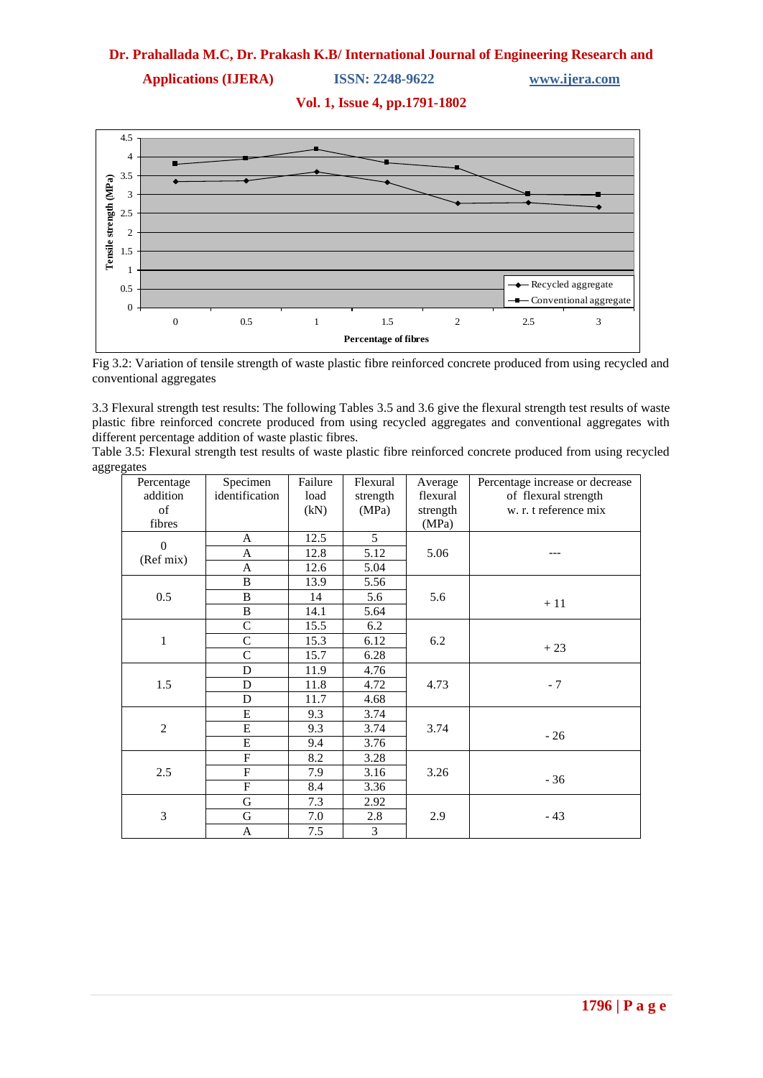**Applications (IJERA) ISSN: 2248-9622 www.ijera.com**

**Vol. 1, Issue 4, pp.1791-1802**



Fig 3.2: Variation of tensile strength of waste plastic fibre reinforced concrete produced from using recycled and conventional aggregates

3.3 Flexural strength test results: The following Tables 3.5 and 3.6 give the flexural strength test results of waste plastic fibre reinforced concrete produced from using recycled aggregates and conventional aggregates with different percentage addition of waste plastic fibres.

Table 3.5: Flexural strength test results of waste plastic fibre reinforced concrete produced from using recycled aggregates

| Percentage     | Specimen                | Failure | Flexural       | Average  | Percentage increase or decrease |
|----------------|-------------------------|---------|----------------|----------|---------------------------------|
| addition       | identification          | load    | strength       | flexural | of flexural strength            |
| of             |                         | (kN)    | (MPa)          | strength | w. r. t reference mix           |
| fibres         |                         |         |                | (MPa)    |                                 |
| $\overline{0}$ | A                       | 12.5    | 5              |          |                                 |
| (Ref mix)      | A                       | 12.8    | 5.12           | 5.06     |                                 |
|                | A                       | 12.6    | 5.04           |          |                                 |
|                | $\bf{B}$                | 13.9    | 5.56           |          |                                 |
| 0.5            | $\, {\bf B}$            | 14      | 5.6            | 5.6      | $+11$                           |
|                | $\bf{B}$                | 14.1    | 5.64           |          |                                 |
|                | $\mathsf{C}$            | 15.5    | 6.2            |          |                                 |
| $\mathbf{1}$   | $\mathcal{C}$           | 15.3    | 6.12           | 6.2      |                                 |
|                | $\mathcal{C}$           | 15.7    | 6.28           |          | $+23$                           |
|                | D                       | 11.9    | 4.76           |          |                                 |
| 1.5            | D                       | 11.8    | 4.72           | 4.73     | $-7$                            |
|                | D                       | 11.7    | 4.68           |          |                                 |
|                | E                       | 9.3     | 3.74           |          |                                 |
| $\overline{2}$ | ${\bf E}$               | 9.3     | 3.74           | 3.74     | $-26$                           |
|                | E                       | 9.4     | 3.76           |          |                                 |
|                | $\mathbf F$             | 8.2     | 3.28           |          |                                 |
| 2.5            | $\overline{\mathrm{F}}$ | 7.9     | 3.16           | 3.26     |                                 |
|                | $\mathbf F$             | 8.4     | 3.36           |          | $-36$                           |
|                | ${\bf G}$               | 7.3     | 2.92           |          |                                 |
| 3              | G                       | 7.0     | 2.8            | 2.9      | $-43$                           |
|                | A                       | 7.5     | $\mathfrak{Z}$ |          |                                 |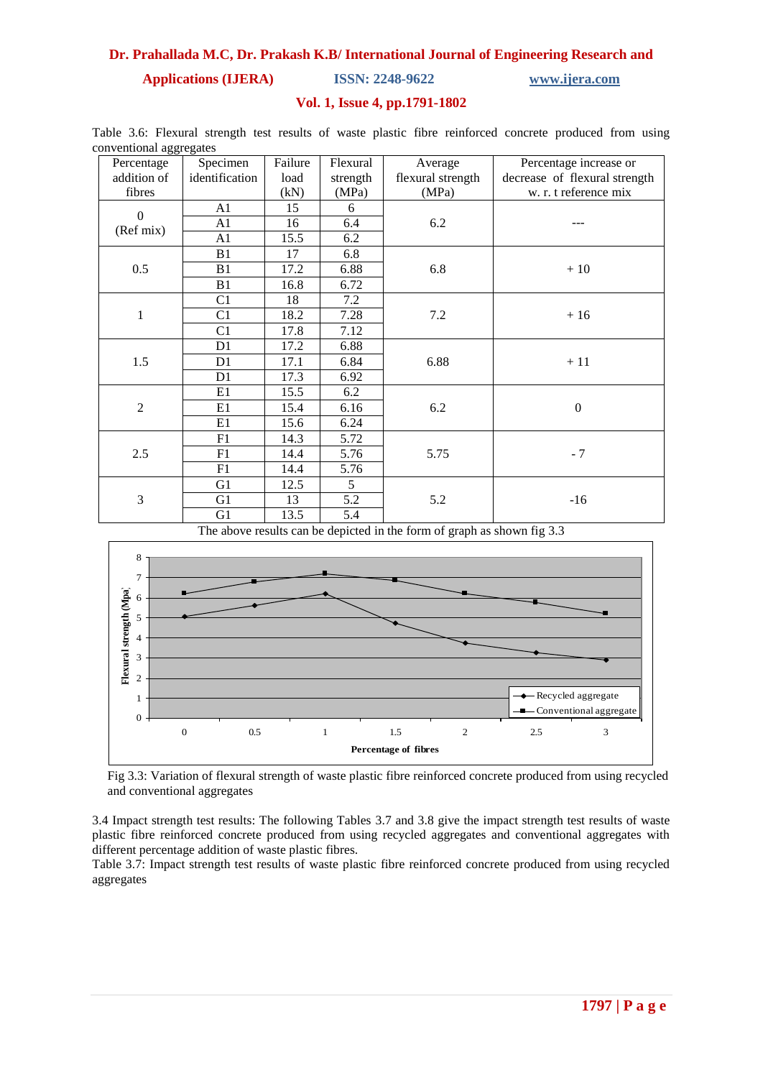**Applications (IJERA) ISSN: 2248-9622 www.ijera.com**

## **Vol. 1, Issue 4, pp.1791-1802**

|  |                         |  |  |  | Table 3.6: Flexural strength test results of waste plastic fibre reinforced concrete produced from using |  |  |
|--|-------------------------|--|--|--|----------------------------------------------------------------------------------------------------------|--|--|
|  | conventional aggregates |  |  |  |                                                                                                          |  |  |

| Percentage     | Specimen       | Failure | Flexural | Average           | Percentage increase or        |
|----------------|----------------|---------|----------|-------------------|-------------------------------|
| addition of    | identification | load    | strength | flexural strength | decrease of flexural strength |
| fibres         |                | (kN)    | (MPa)    | (MPa)             | w. r. t reference mix         |
| $\mathbf{0}$   | A1             | 15      | 6        |                   |                               |
| (Ref mix)      | A <sub>1</sub> | 16      | 6.4      | 6.2               |                               |
|                | A1             | 15.5    | 6.2      |                   |                               |
|                | B1             | 17      | 6.8      |                   |                               |
| 0.5            | B1             | 17.2    | 6.88     | 6.8               | $+10$                         |
|                | B1             | 16.8    | 6.72     |                   |                               |
|                | C1             | 18      | 7.2      |                   |                               |
| 1              | C <sub>1</sub> | 18.2    | 7.28     | 7.2               | $+16$                         |
|                | C1             | 17.8    | 7.12     |                   |                               |
|                | D <sub>1</sub> | 17.2    | 6.88     |                   |                               |
| 1.5            | D <sub>1</sub> | 17.1    | 6.84     | 6.88              | $+11$                         |
|                | D1             | 17.3    | 6.92     |                   |                               |
|                | E1             | 15.5    | 6.2      |                   |                               |
| $\overline{2}$ | E1             | 15.4    | 6.16     | 6.2               | $\boldsymbol{0}$              |
|                | E1             | 15.6    | 6.24     |                   |                               |
|                | F1             | 14.3    | 5.72     |                   |                               |
| 2.5            | F1             | 14.4    | 5.76     | 5.75              | $-7$                          |
|                | F1             | 14.4    | 5.76     |                   |                               |
|                | G1             | 12.5    | 5        |                   |                               |
| 3              | G <sub>1</sub> | 13      | 5.2      | 5.2               | $-16$                         |
|                | G <sub>1</sub> | 13.5    | 5.4      |                   |                               |

The above results can be depicted in the form of graph as shown fig 3.3



Fig 3.3: Variation of flexural strength of waste plastic fibre reinforced concrete produced from using recycled and conventional aggregates

3.4 Impact strength test results: The following Tables 3.7 and 3.8 give the impact strength test results of waste plastic fibre reinforced concrete produced from using recycled aggregates and conventional aggregates with different percentage addition of waste plastic fibres.

Table 3.7: Impact strength test results of waste plastic fibre reinforced concrete produced from using recycled aggregates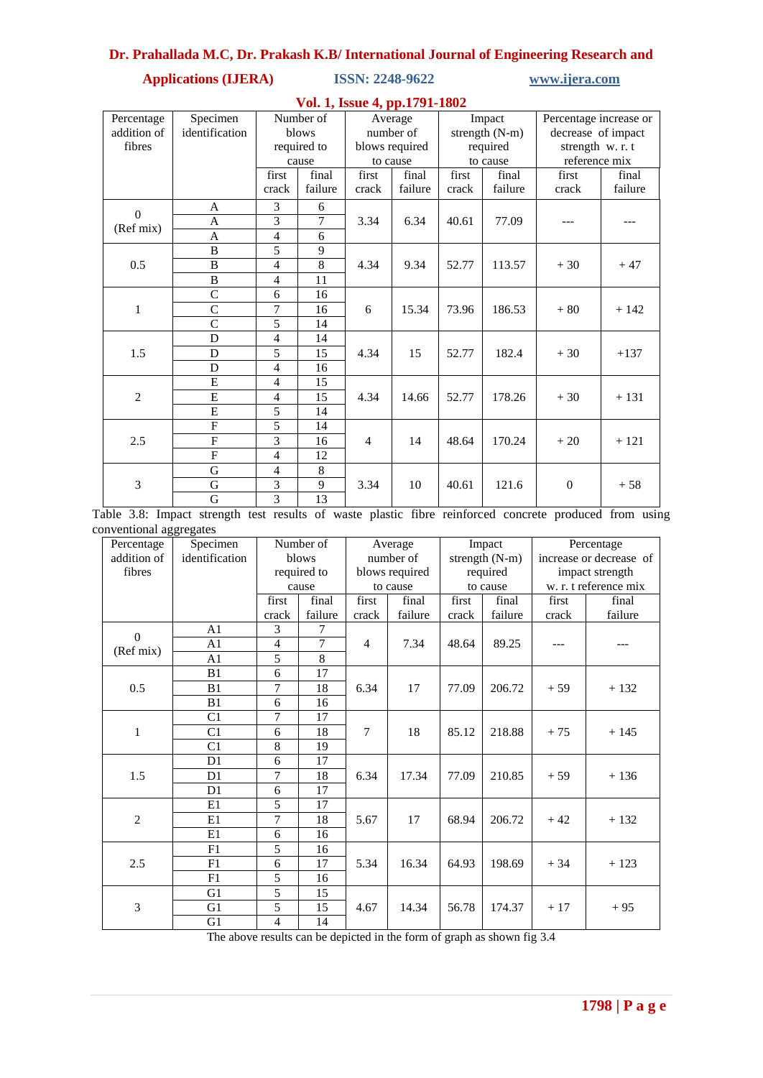## **Applications (IJERA) ISSN: 2248-9622 www.ijera.com**

|                | Vol. 1, Issue 4, pp.1791-1802 |                |                 |                |         |                |          |                        |         |  |  |  |  |
|----------------|-------------------------------|----------------|-----------------|----------------|---------|----------------|----------|------------------------|---------|--|--|--|--|
| Percentage     | Specimen                      |                | Number of       |                | Average |                | Impact   | Percentage increase or |         |  |  |  |  |
| addition of    | identification                |                | blows           | number of      |         | strength (N-m) |          | decrease of impact     |         |  |  |  |  |
| fibres         |                               | required to    |                 | blows required |         | required       |          | strength w. r. t       |         |  |  |  |  |
|                |                               |                | cause           | to cause       |         |                | to cause | reference mix          |         |  |  |  |  |
|                |                               | first          | final           | first          | final   | first          | final    | first                  | final   |  |  |  |  |
|                |                               | crack          | failure         | crack          | failure | crack          | failure  | crack                  | failure |  |  |  |  |
| $\Omega$       | A                             | 3              | 6               |                |         |                |          |                        |         |  |  |  |  |
| (Ref mix)      | $\overline{A}$                | 3              | 7               | 3.34           | 6.34    | 40.61          | 77.09    | ---                    |         |  |  |  |  |
|                | $\mathbf{A}$                  | 4              | 6               |                |         |                |          |                        |         |  |  |  |  |
|                | B                             | 5              | 9               |                |         |                |          |                        |         |  |  |  |  |
| 0.5            | $\bf{B}$                      | 4              | 8               | 4.34           | 9.34    | 52.77          | 113.57   | $+30$                  | $+47$   |  |  |  |  |
|                | B                             | 4              | 11              |                |         |                |          |                        |         |  |  |  |  |
|                | $\overline{C}$                | 6              | 16              |                |         |                |          |                        |         |  |  |  |  |
| 1              | $\overline{C}$                | 7              | 16              | 6              | 15.34   | 73.96          | 186.53   | $+80$                  | $+142$  |  |  |  |  |
|                | $\overline{C}$                | 5              | 14              |                |         |                |          |                        |         |  |  |  |  |
|                | D                             | 4              | 14              |                |         |                |          |                        |         |  |  |  |  |
| 1.5            | D                             | 5              | 15              | 4.34           | 15      | 52.77          | 182.4    | $+30$                  | $+137$  |  |  |  |  |
|                | D                             | $\overline{4}$ | 16              |                |         |                |          |                        |         |  |  |  |  |
|                | E                             | 4              | 15              |                |         |                |          |                        |         |  |  |  |  |
| $\overline{2}$ | E                             | 4              | 15              | 4.34           | 14.66   | 52.77          | 178.26   | $+30$                  | $+131$  |  |  |  |  |
|                | $\overline{E}$                | 5              | 14              |                |         |                |          |                        |         |  |  |  |  |
|                | $\mathbf{F}$                  | 5              | 14              |                |         |                |          |                        |         |  |  |  |  |
| 2.5            | $\overline{F}$                | 3              | 16              | $\overline{4}$ | 14      | 48.64          | 170.24   | $+20$                  | $+121$  |  |  |  |  |
|                | $\overline{F}$                | $\overline{4}$ | $\overline{12}$ |                |         |                |          |                        |         |  |  |  |  |
|                | G                             | 4              | 8               |                |         |                |          |                        |         |  |  |  |  |
| $\overline{3}$ | $\overline{G}$                | 3              | 9               | 3.34           | 10      | 40.61          | 121.6    | $\overline{0}$         | $+58$   |  |  |  |  |
|                | G                             | 3              | 13              |                |         |                |          |                        |         |  |  |  |  |

Table 3.8: Impact strength test results of waste plastic fibre reinforced concrete produced from using conventional aggregates

| onventional aggregates<br>Percentage | Specimen       | Number of |             |                | Average        |       | Impact         | Percentage              |                       |  |
|--------------------------------------|----------------|-----------|-------------|----------------|----------------|-------|----------------|-------------------------|-----------------------|--|
| addition of                          | identification | blows     |             |                | number of      |       | strength (N-m) | increase or decrease of |                       |  |
| fibres                               |                |           | required to |                | blows required |       | required       | impact strength         |                       |  |
|                                      |                | cause     |             | to cause       |                |       | to cause       |                         | w. r. t reference mix |  |
|                                      |                | first     | final       | first          | final          | first | final          | first                   | final                 |  |
|                                      |                | crack     | failure     | crack          | failure        | crack | failure        | crack                   | failure               |  |
| $\boldsymbol{0}$                     | A <sub>1</sub> | 3         | 7           |                |                |       |                |                         |                       |  |
| (Ref mix)                            | A <sub>1</sub> | 4         | 7           | $\overline{4}$ | 7.34           | 48.64 | 89.25          |                         |                       |  |
|                                      | A <sub>1</sub> | 5         | 8           |                |                |       |                |                         |                       |  |
|                                      | B1             | 6         | 17          |                |                |       |                |                         |                       |  |
| 0.5                                  | B <sub>1</sub> | 7         | 18          | 6.34           | 17             | 77.09 | 206.72         | $+59$                   | $+132$                |  |
|                                      | B1             | 6         | 16          |                |                |       |                |                         |                       |  |
|                                      | C1             | 7         | 17          |                |                |       |                |                         |                       |  |
| 1                                    | C <sub>1</sub> | 6         | 18          | 7              | 18             | 85.12 | 218.88         | $+75$                   | $+145$                |  |
|                                      | C <sub>1</sub> | 8         | 19          |                |                |       |                |                         |                       |  |
|                                      | D <sub>1</sub> | 6         | 17          |                |                |       |                |                         |                       |  |
| 1.5                                  | D <sub>1</sub> | 7         | 18          | 6.34           | 17.34          | 77.09 | 210.85         | $+59$                   | $+136$                |  |
|                                      | D <sub>1</sub> | 6         | 17          |                |                |       |                |                         |                       |  |
|                                      | E1             | 5         | 17          |                |                |       |                |                         |                       |  |
| $\overline{c}$                       | E1             | 7         | 18          | 5.67           | 17             | 68.94 | 206.72         | $+42$                   | $+132$                |  |
|                                      | E1             | 6         | 16          |                |                |       |                |                         |                       |  |
|                                      | F1             | 5         | 16          |                |                |       |                |                         |                       |  |
| 2.5                                  | F1             | 6         | 17          | 5.34           | 16.34          | 64.93 | 198.69         | $+34$                   | $+123$                |  |
|                                      | F1             | 5         | 16          |                |                |       |                |                         |                       |  |
|                                      | G1             | 5         | 15          |                |                |       |                |                         |                       |  |
| 3                                    | G1             | 5         | 15          | 4.67           | 14.34          | 56.78 | 174.37         | $+17$                   | $+95$                 |  |
|                                      | G1             | 4         | 14          |                |                |       |                |                         |                       |  |

The above results can be depicted in the form of graph as shown fig 3.4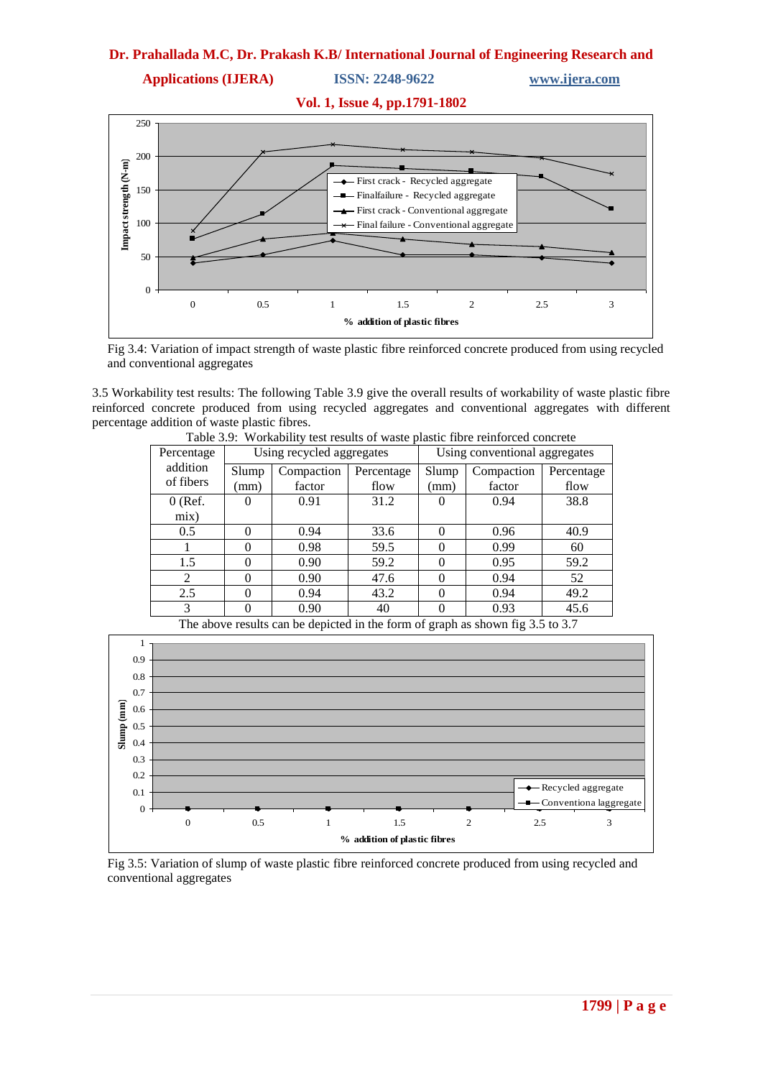**Applications (IJERA) ISSN: 2248-9622 www.ijera.com**



Fig 3.4: Variation of impact strength of waste plastic fibre reinforced concrete produced from using recycled and conventional aggregates

3.5 Workability test results: The following Table 3.9 give the overall results of workability of waste plastic fibre reinforced concrete produced from using recycled aggregates and conventional aggregates with different percentage addition of waste plastic fibres.

| Percentage            | Using recycled aggregates |                      |                    | Using conventional aggregates |                      |                    |
|-----------------------|---------------------------|----------------------|--------------------|-------------------------------|----------------------|--------------------|
| addition<br>of fibers | Slump<br>(mm)             | Compaction<br>factor | Percentage<br>flow | Slump<br>(mm)                 | Compaction<br>factor | Percentage<br>flow |
| $0$ (Ref.             |                           | 0.91                 | 31.2               |                               | 0.94                 | 38.8               |
| mix)                  |                           |                      |                    |                               |                      |                    |
| 0.5                   | 0                         | 0.94                 | 33.6               | 0                             | 0.96                 | 40.9               |
|                       |                           | 0.98                 | 59.5               |                               | 0.99                 | 60                 |
| 1.5                   |                           | 0.90                 | 59.2               |                               | 0.95                 | 59.2               |
| 2                     |                           | 0.90                 | 47.6               |                               | 0.94                 | 52                 |
| 2.5                   |                           | 0.94                 | 43.2               | $\theta$                      | 0.94                 | 49.2               |
| 3                     |                           | 0.90                 | 40                 |                               | 0.93                 | 45.6               |

Table 3.9: Workability test results of waste plastic fibre reinforced concrete

The above results can be depicted in the form of graph as shown fig 3.5 to 3.7



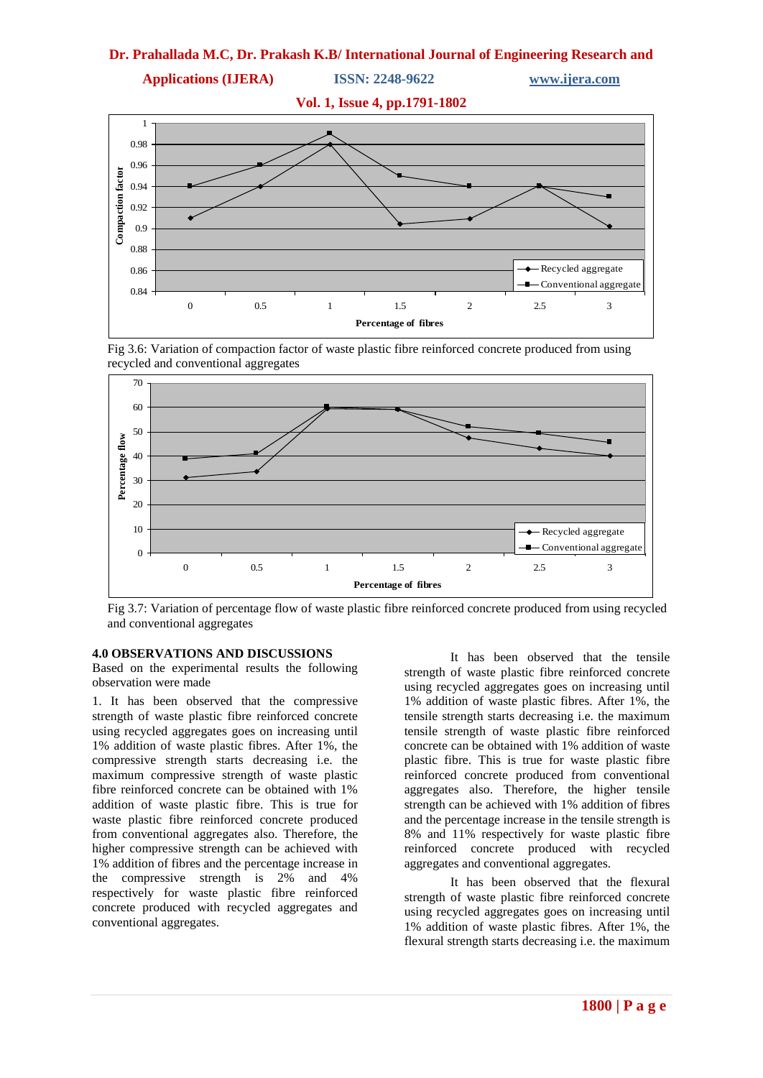



Fig 3.6: Variation of compaction factor of waste plastic fibre reinforced concrete produced from using recycled and conventional aggregates



Fig 3.7: Variation of percentage flow of waste plastic fibre reinforced concrete produced from using recycled and conventional aggregates

#### **4.0 OBSERVATIONS AND DISCUSSIONS**

Based on the experimental results the following observation were made

1. It has been observed that the compressive strength of waste plastic fibre reinforced concrete using recycled aggregates goes on increasing until 1% addition of waste plastic fibres. After 1%, the compressive strength starts decreasing i.e. the maximum compressive strength of waste plastic fibre reinforced concrete can be obtained with 1% addition of waste plastic fibre. This is true for waste plastic fibre reinforced concrete produced from conventional aggregates also. Therefore, the higher compressive strength can be achieved with 1% addition of fibres and the percentage increase in the compressive strength is 2% and 4% respectively for waste plastic fibre reinforced concrete produced with recycled aggregates and conventional aggregates.

It has been observed that the tensile strength of waste plastic fibre reinforced concrete using recycled aggregates goes on increasing until 1% addition of waste plastic fibres. After 1%, the tensile strength starts decreasing i.e. the maximum tensile strength of waste plastic fibre reinforced concrete can be obtained with 1% addition of waste plastic fibre. This is true for waste plastic fibre reinforced concrete produced from conventional aggregates also. Therefore, the higher tensile strength can be achieved with 1% addition of fibres and the percentage increase in the tensile strength is 8% and 11% respectively for waste plastic fibre reinforced concrete produced with recycled aggregates and conventional aggregates.

It has been observed that the flexural strength of waste plastic fibre reinforced concrete using recycled aggregates goes on increasing until 1% addition of waste plastic fibres. After 1%, the flexural strength starts decreasing i.e. the maximum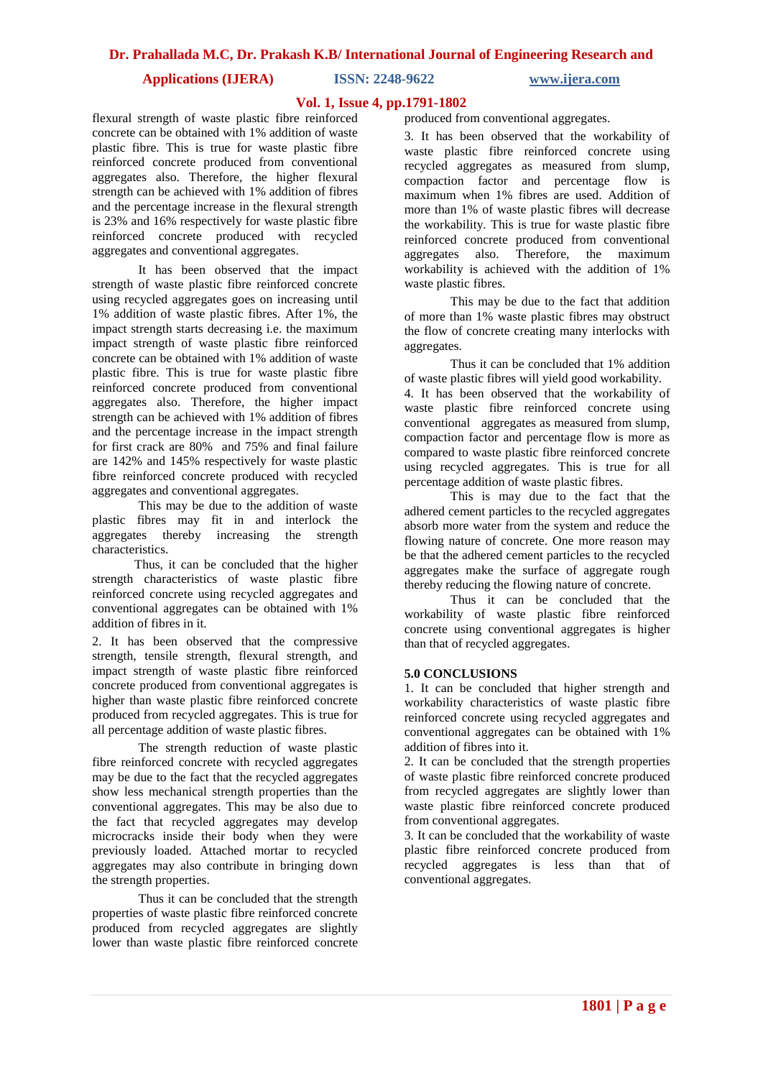**Applications (IJERA) ISSN: 2248-9622 www.ijera.com**

#### **Vol. 1, Issue 4, pp.1791-1802**

flexural strength of waste plastic fibre reinforced concrete can be obtained with 1% addition of waste plastic fibre. This is true for waste plastic fibre reinforced concrete produced from conventional aggregates also. Therefore, the higher flexural strength can be achieved with 1% addition of fibres and the percentage increase in the flexural strength is 23% and 16% respectively for waste plastic fibre reinforced concrete produced with recycled aggregates and conventional aggregates.

It has been observed that the impact strength of waste plastic fibre reinforced concrete using recycled aggregates goes on increasing until 1% addition of waste plastic fibres. After 1%, the impact strength starts decreasing i.e. the maximum impact strength of waste plastic fibre reinforced concrete can be obtained with 1% addition of waste plastic fibre. This is true for waste plastic fibre reinforced concrete produced from conventional aggregates also. Therefore, the higher impact strength can be achieved with 1% addition of fibres and the percentage increase in the impact strength for first crack are 80% and 75% and final failure are 142% and 145% respectively for waste plastic fibre reinforced concrete produced with recycled aggregates and conventional aggregates.

This may be due to the addition of waste plastic fibres may fit in and interlock the aggregates thereby increasing the strength characteristics.

 Thus, it can be concluded that the higher strength characteristics of waste plastic fibre reinforced concrete using recycled aggregates and conventional aggregates can be obtained with 1% addition of fibres in it.

2. It has been observed that the compressive strength, tensile strength, flexural strength, and impact strength of waste plastic fibre reinforced concrete produced from conventional aggregates is higher than waste plastic fibre reinforced concrete produced from recycled aggregates. This is true for all percentage addition of waste plastic fibres.

The strength reduction of waste plastic fibre reinforced concrete with recycled aggregates may be due to the fact that the recycled aggregates show less mechanical strength properties than the conventional aggregates. This may be also due to the fact that recycled aggregates may develop microcracks inside their body when they were previously loaded. Attached mortar to recycled aggregates may also contribute in bringing down the strength properties.

Thus it can be concluded that the strength properties of waste plastic fibre reinforced concrete produced from recycled aggregates are slightly lower than waste plastic fibre reinforced concrete

produced from conventional aggregates.

3. It has been observed that the workability of waste plastic fibre reinforced concrete using recycled aggregates as measured from slump, compaction factor and percentage flow is maximum when 1% fibres are used. Addition of more than 1% of waste plastic fibres will decrease the workability. This is true for waste plastic fibre reinforced concrete produced from conventional aggregates also. Therefore, the maximum workability is achieved with the addition of 1% waste plastic fibres.

This may be due to the fact that addition of more than 1% waste plastic fibres may obstruct the flow of concrete creating many interlocks with aggregates.

Thus it can be concluded that 1% addition of waste plastic fibres will yield good workability. 4. It has been observed that the workability of waste plastic fibre reinforced concrete using conventional aggregates as measured from slump, compaction factor and percentage flow is more as compared to waste plastic fibre reinforced concrete using recycled aggregates. This is true for all percentage addition of waste plastic fibres.

This is may due to the fact that the adhered cement particles to the recycled aggregates absorb more water from the system and reduce the flowing nature of concrete. One more reason may be that the adhered cement particles to the recycled aggregates make the surface of aggregate rough thereby reducing the flowing nature of concrete.

Thus it can be concluded that the workability of waste plastic fibre reinforced concrete using conventional aggregates is higher than that of recycled aggregates.

#### **5.0 CONCLUSIONS**

1. It can be concluded that higher strength and workability characteristics of waste plastic fibre reinforced concrete using recycled aggregates and conventional aggregates can be obtained with 1% addition of fibres into it.

2. It can be concluded that the strength properties of waste plastic fibre reinforced concrete produced from recycled aggregates are slightly lower than waste plastic fibre reinforced concrete produced from conventional aggregates.

3. It can be concluded that the workability of waste plastic fibre reinforced concrete produced from recycled aggregates is less than that of conventional aggregates.